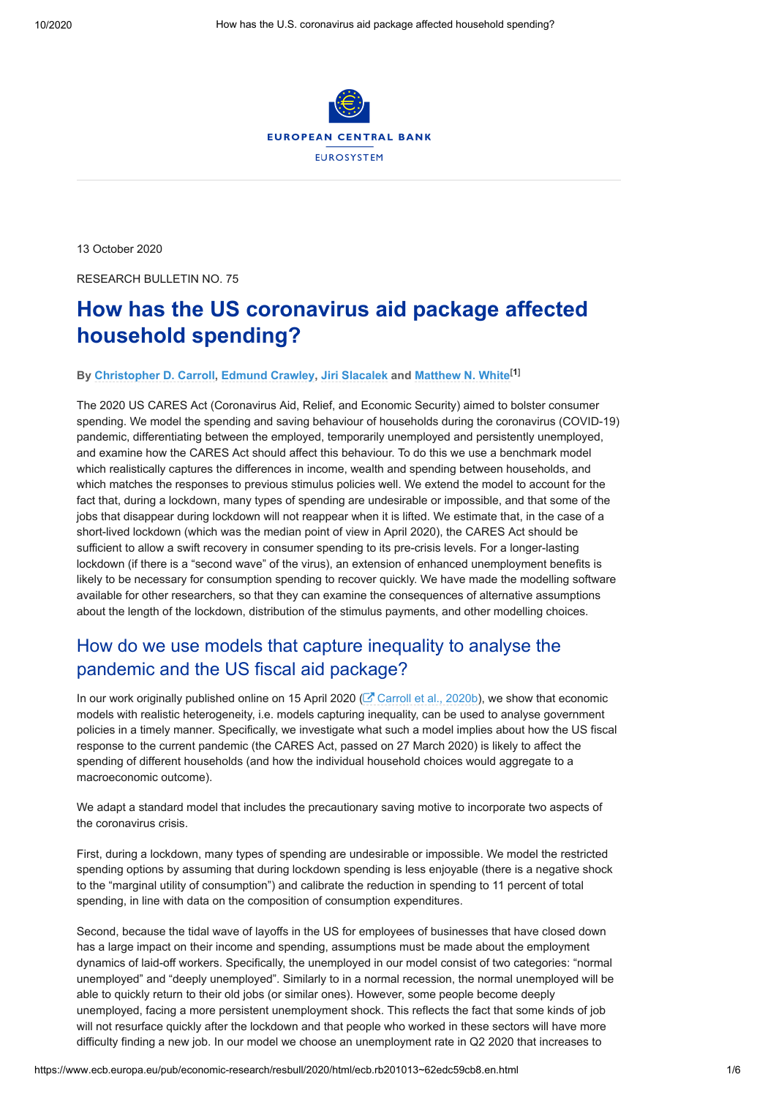

13 October 2020

RESEARCH BULLETIN NO. 75

# **How has the US coronavirus aid package affected household spending?**

#### **By [Christopher D. Carroll,](https://www.ecb.europa.eu/pub/research/authors/profiles/christopher-d-carroll.en.html) [Edmund Crawley](https://www.ecb.europa.eu/pub/research/authors/profiles/edmund-crawley.en.html), [Jiri Slacalek](https://www.ecb.europa.eu/pub/research/authors/profiles/jiri-slacalek.en.html) and [Matthew N. White](https://www.ecb.europa.eu/pub/research/authors/profiles/matthew-n-white.en.html)[1]**

The 2020 US CARES Act (Coronavirus Aid, Relief, and Economic Security) aimed to bolster consumer spending. We model the spending and saving behaviour of households during the coronavirus (COVID-19) pandemic, differentiating between the employed, temporarily unemployed and persistently unemployed, and examine how the CARES Act should affect this behaviour. To do this we use a benchmark model which realistically captures the differences in income, wealth and spending between households, and which matches the responses to previous stimulus policies well. We extend the model to account for the fact that, during a lockdown, many types of spending are undesirable or impossible, and that some of the jobs that disappear during lockdown will not reappear when it is lifted. We estimate that, in the case of a short-lived lockdown (which was the median point of view in April 2020), the CARES Act should be sufficient to allow a swift recovery in consumer spending to its pre-crisis levels. For a longer-lasting lockdown (if there is a "second wave" of the virus), an extension of enhanced unemployment benefits is likely to be necessary for consumption spending to recover quickly. We have made the modelling software available for other researchers, so that they can examine the consequences of alternative assumptions about the length of the lockdown, distribution of the stimulus payments, and other modelling choices.

# How do we use models that capture inequality to analyse the pandemic and the US fiscal aid package?

In our work originally published online on 15 April 2020 ( $\mathbb{C}^r$  [Carroll et al., 2020b\)](https://econ-ark.github.io/Pandemic), we show that economic models with realistic heterogeneity, i.e. models capturing inequality, can be used to analyse government policies in a timely manner. Specifically, we investigate what such a model implies about how the US fiscal response to the current pandemic (the CARES Act, passed on 27 March 2020) is likely to affect the spending of different households (and how the individual household choices would aggregate to a macroeconomic outcome).

We adapt a standard model that includes the precautionary saving motive to incorporate two aspects of the coronavirus crisis.

First, during a lockdown, many types of spending are undesirable or impossible. We model the restricted spending options by assuming that during lockdown spending is less enjoyable (there is a negative shock to the "marginal utility of consumption") and calibrate the reduction in spending to 11 percent of total spending, in line with data on the composition of consumption expenditures.

Second, because the tidal wave of layoffs in the US for employees of businesses that have closed down has a large impact on their income and spending, assumptions must be made about the employment dynamics of laid-off workers. Specifically, the unemployed in our model consist of two categories: "normal unemployed" and "deeply unemployed". Similarly to in a normal recession, the normal unemployed will be able to quickly return to their old jobs (or similar ones). However, some people become deeply unemployed, facing a more persistent unemployment shock. This reflects the fact that some kinds of job will not resurface quickly after the lockdown and that people who worked in these sectors will have more difficulty finding a new job. In our model we choose an unemployment rate in Q2 2020 that increases to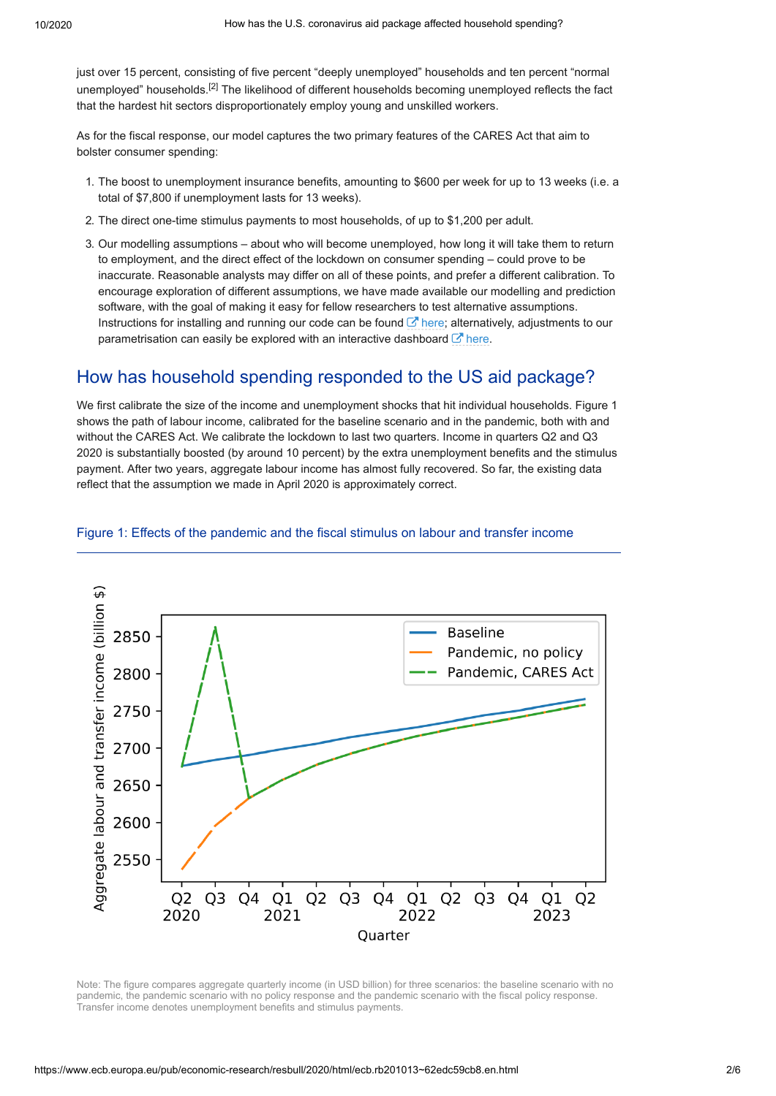just over 15 percent, consisting of five percent "deeply unemployed" households and ten percent "normal unemployed" households.<sup>[2]</sup> The likelihood of different households becoming unemployed reflects the fact that the hardest hit sectors disproportionately employ young and unskilled workers.

As for the fiscal response, our model captures the two primary features of the CARES Act that aim to bolster consumer spending:

- 1. The boost to unemployment insurance benefits, amounting to \$600 per week for up to 13 weeks (i.e. a total of \$7,800 if unemployment lasts for 13 weeks).
- 2. The direct one-time stimulus payments to most households, of up to \$1,200 per adult.
- 3. Our modelling assumptions about who will become unemployed, how long it will take them to return to employment, and the direct effect of the lockdown on consumer spending – could prove to be inaccurate. Reasonable analysts may differ on all of these points, and prefer a different calibration. To encourage exploration of different assumptions, we have made available our modelling and prediction software, with the goal of making it easy for fellow researchers to test alternative assumptions. Instructions for installing and running our code can be found  $\mathbb{Z}$  [here](https://bit.ly/33CMD0R); alternatively, adjustments to our parametrisation can easily be explored with an interactive dashboard  $\mathbb Z$  [here.](http://econ-ark.org/pandemicdashboard)

# How has household spending responded to the US aid package?

We first calibrate the size of the income and unemployment shocks that hit individual households. Figure 1 shows the path of labour income, calibrated for the baseline scenario and in the pandemic, both with and without the CARES Act. We calibrate the lockdown to last two quarters. Income in quarters Q2 and Q3 2020 is substantially boosted (by around 10 percent) by the extra unemployment benefits and the stimulus payment. After two years, aggregate labour income has almost fully recovered. So far, the existing data reflect that the assumption we made in April 2020 is approximately correct.



#### Figure 1: Effects of the pandemic and the fiscal stimulus on labour and transfer income

Note: The figure compares aggregate quarterly income (in USD billion) for three scenarios: the baseline scenario with no pandemic, the pandemic scenario with no policy response and the pandemic scenario with the fiscal policy response. Transfer income denotes unemployment benefits and stimulus payments.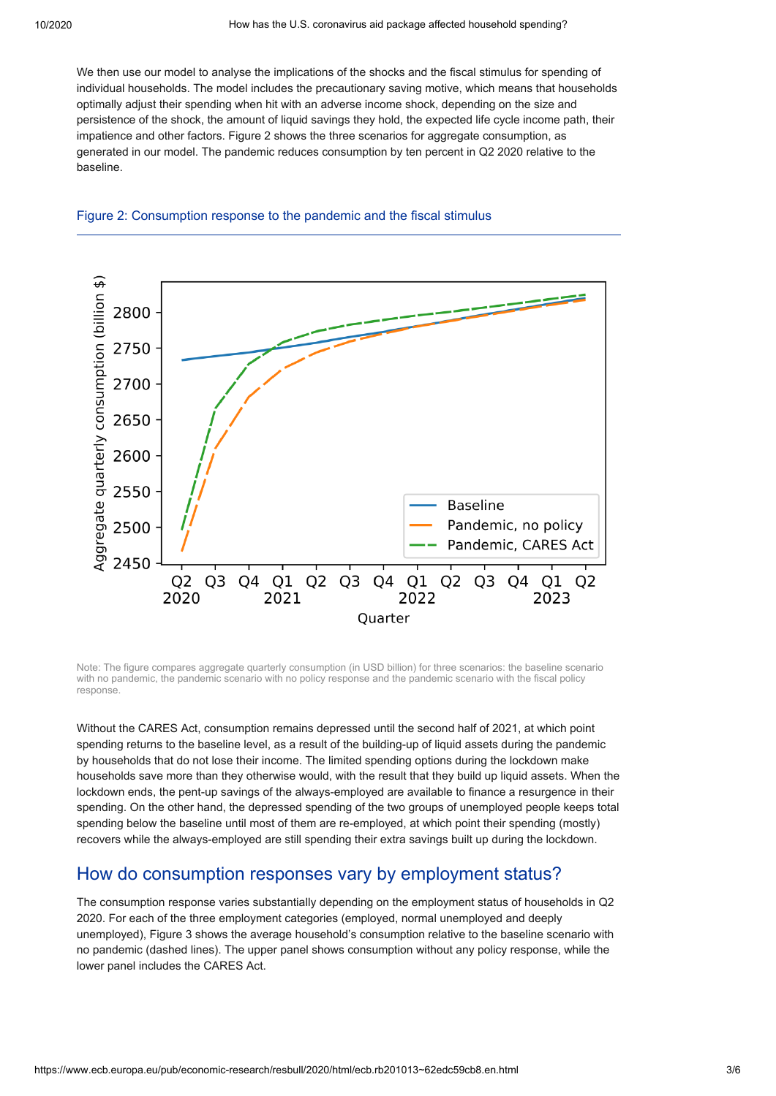We then use our model to analyse the implications of the shocks and the fiscal stimulus for spending of individual households. The model includes the precautionary saving motive, which means that households optimally adjust their spending when hit with an adverse income shock, depending on the size and persistence of the shock, the amount of liquid savings they hold, the expected life cycle income path, their impatience and other factors. Figure 2 shows the three scenarios for aggregate consumption, as generated in our model. The pandemic reduces consumption by ten percent in Q2 2020 relative to the baseline.





Note: The figure compares aggregate quarterly consumption (in USD billion) for three scenarios: the baseline scenario with no pandemic, the pandemic scenario with no policy response and the pandemic scenario with the fiscal policy response.

Without the CARES Act, consumption remains depressed until the second half of 2021, at which point spending returns to the baseline level, as a result of the building-up of liquid assets during the pandemic by households that do not lose their income. The limited spending options during the lockdown make households save more than they otherwise would, with the result that they build up liquid assets. When the lockdown ends, the pent-up savings of the always-employed are available to finance a resurgence in their spending. On the other hand, the depressed spending of the two groups of unemployed people keeps total spending below the baseline until most of them are re-employed, at which point their spending (mostly) recovers while the always-employed are still spending their extra savings built up during the lockdown.

## How do consumption responses vary by employment status?

The consumption response varies substantially depending on the employment status of households in Q2 2020. For each of the three employment categories (employed, normal unemployed and deeply unemployed), Figure 3 shows the average household's consumption relative to the baseline scenario with no pandemic (dashed lines). The upper panel shows consumption without any policy response, while the lower panel includes the CARES Act.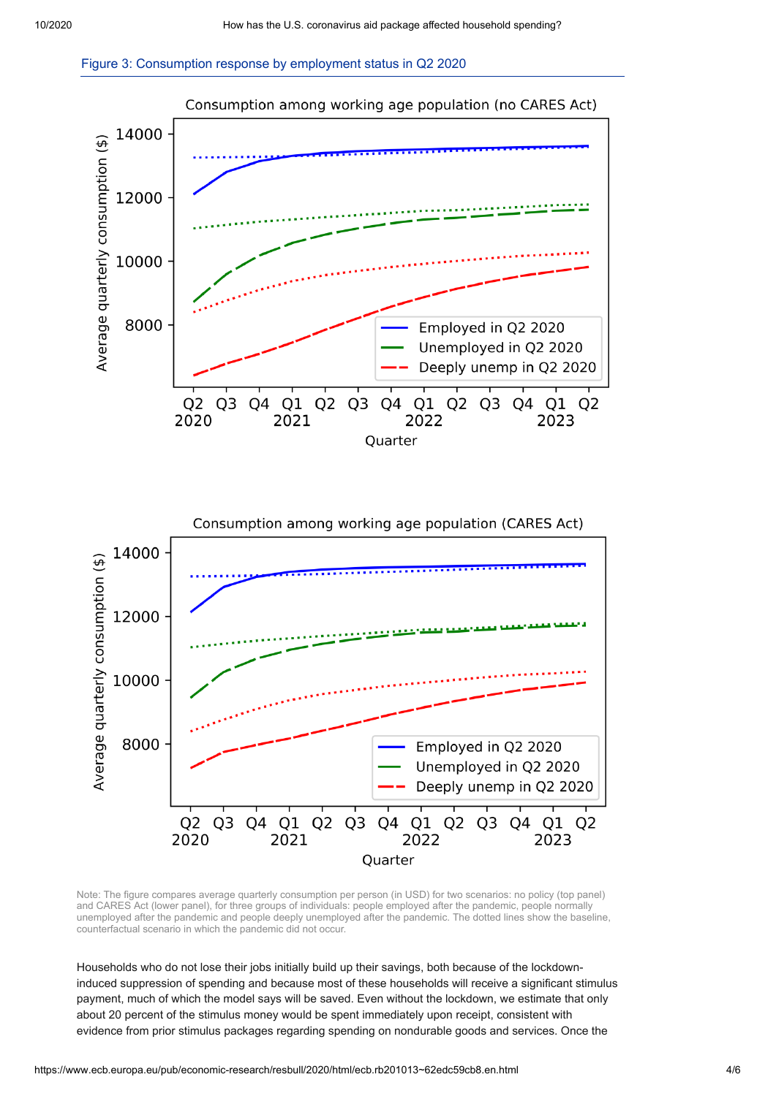





Note: The figure compares average quarterly consumption per person (in USD) for two scenarios: no policy (top panel) and CARES Act (lower panel), for three groups of individuals: people employed after the pandemic, people normally unemployed after the pandemic and people deeply unemployed after the pandemic. The dotted lines show the baseline, counterfactual scenario in which the pandemic did not occur.

Households who do not lose their jobs initially build up their savings, both because of the lockdowninduced suppression of spending and because most of these households will receive a significant stimulus payment, much of which the model says will be saved. Even without the lockdown, we estimate that only about 20 percent of the stimulus money would be spent immediately upon receipt, consistent with evidence from prior stimulus packages regarding spending on nondurable goods and services. Once the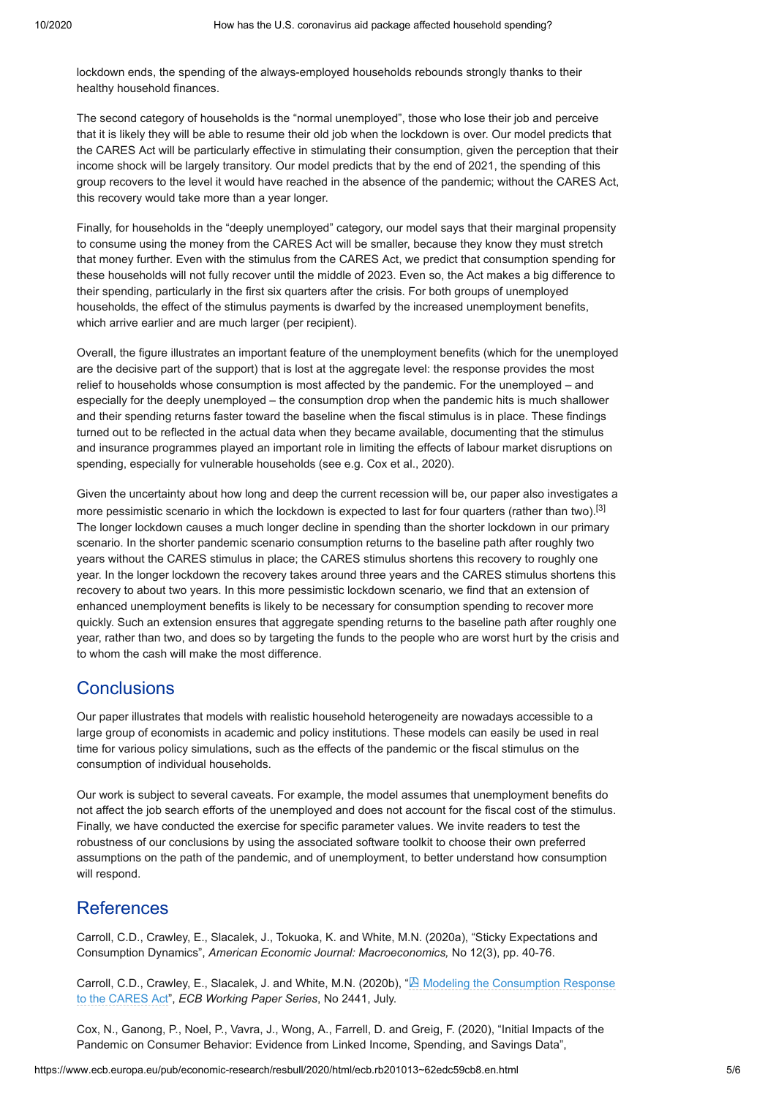lockdown ends, the spending of the always-employed households rebounds strongly thanks to their healthy household finances.

The second category of households is the "normal unemployed", those who lose their job and perceive that it is likely they will be able to resume their old job when the lockdown is over. Our model predicts that the CARES Act will be particularly effective in stimulating their consumption, given the perception that their income shock will be largely transitory. Our model predicts that by the end of 2021, the spending of this group recovers to the level it would have reached in the absence of the pandemic; without the CARES Act, this recovery would take more than a year longer.

Finally, for households in the "deeply unemployed" category, our model says that their marginal propensity to consume using the money from the CARES Act will be smaller, because they know they must stretch that money further. Even with the stimulus from the CARES Act, we predict that consumption spending for these households will not fully recover until the middle of 2023. Even so, the Act makes a big difference to their spending, particularly in the first six quarters after the crisis. For both groups of unemployed households, the effect of the stimulus payments is dwarfed by the increased unemployment benefits, which arrive earlier and are much larger (per recipient).

Overall, the figure illustrates an important feature of the unemployment benefits (which for the unemployed are the decisive part of the support) that is lost at the aggregate level: the response provides the most relief to households whose consumption is most affected by the pandemic. For the unemployed – and especially for the deeply unemployed – the consumption drop when the pandemic hits is much shallower and their spending returns faster toward the baseline when the fiscal stimulus is in place. These findings turned out to be reflected in the actual data when they became available, documenting that the stimulus and insurance programmes played an important role in limiting the effects of labour market disruptions on spending, especially for vulnerable households (see e.g. Cox et al., 2020).

Given the uncertainty about how long and deep the current recession will be, our paper also investigates a more pessimistic scenario in which the lockdown is expected to last for four quarters (rather than two).<sup>[3]</sup> The longer lockdown causes a much longer decline in spending than the shorter lockdown in our primary scenario. In the shorter pandemic scenario consumption returns to the baseline path after roughly two years without the CARES stimulus in place; the CARES stimulus shortens this recovery to roughly one year. In the longer lockdown the recovery takes around three years and the CARES stimulus shortens this recovery to about two years. In this more pessimistic lockdown scenario, we find that an extension of enhanced unemployment benefits is likely to be necessary for consumption spending to recover more quickly. Such an extension ensures that aggregate spending returns to the baseline path after roughly one year, rather than two, and does so by targeting the funds to the people who are worst hurt by the crisis and to whom the cash will make the most difference.

## **Conclusions**

Our paper illustrates that models with realistic household heterogeneity are nowadays accessible to a large group of economists in academic and policy institutions. These models can easily be used in real time for various policy simulations, such as the effects of the pandemic or the fiscal stimulus on the consumption of individual households.

Our work is subject to several caveats. For example, the model assumes that unemployment benefits do not affect the job search efforts of the unemployed and does not account for the fiscal cost of the stimulus. Finally, we have conducted the exercise for specific parameter values. We invite readers to test the robustness of our conclusions by using the associated software toolkit to choose their own preferred assumptions on the path of the pandemic, and of unemployment, to better understand how consumption will respond.

### References

Carroll, C.D., Crawley, E., Slacalek, J., Tokuoka, K. and White, M.N. (2020a), "Sticky Expectations and Consumption Dynamics", *American Economic Journal: Macroeconomics,* No 12(3), pp. 40-76.

[Carroll, C.D., Crawley, E., Slacalek, J. and White, M.N. \(2020b\), "](https://www.ecb.europa.eu/pub/pdf/scpwps/ecb.wp2441~378032da11.en.pdf)<sup>[2]</sup> Modeling the Consumption Response to the CARES Act", *ECB Working Paper Series*, No 2441, July.

Cox, N., Ganong, P., Noel, P., Vavra, J., Wong, A., Farrell, D. and Greig, F. (2020), "Initial Impacts of the Pandemic on Consumer Behavior: Evidence from Linked Income, Spending, and Savings Data",